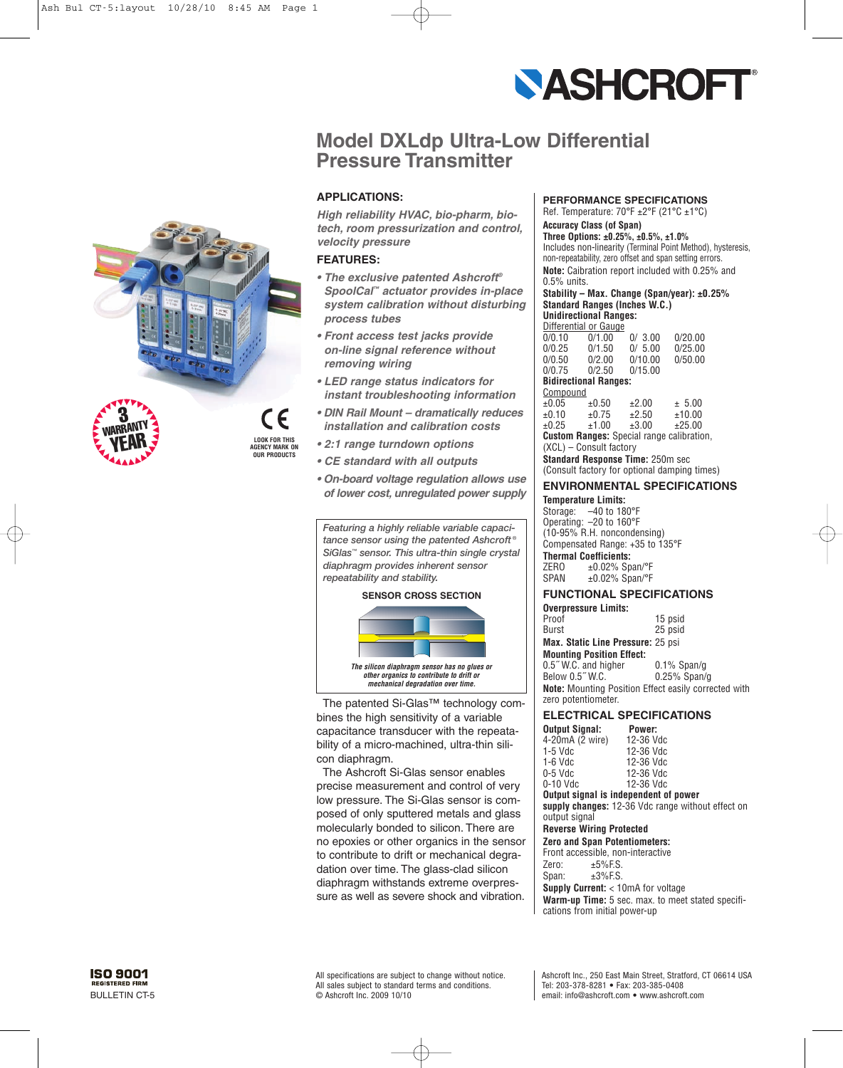

# **Model DXLdp Ultra-Low Differential Pressure Transmitter**

# **APPLICATIONS:**

*High reliability HVAC, bio-pharm, biotech, room pressurization and control, velocity pressure*

# **FEATURES:**

- *The exclusive patented Ashcroft® SpoolCal™ actuator provides in-place system calibration without disturbing process tubes*
- *Front access test jacks provide on-line signal reference without removing wiring*
- *LED range status indicators for instant troubleshooting information*
- *DIN Rail Mount dramatically reduces installation and calibration costs*
- *2:1 range turndown options*
- *CE standard with all outputs*
- *On-board voltage regulation allows use of lower cost, unregulated power supply*

*Featuring a highly reliable variable capacitance sensor using the patented Ashcroft ® SiGlas™ sensor. This ultra-thin single crystal diaphragm provides inherent sensor repeatability and stability.*

#### **SENSOR CROSS SECTION**



The patented Si-Glas™ technology combines the high sensitivity of a variable capacitance transducer with the repeatability of a micro-machined, ultra-thin silicon diaphragm.

The Ashcroft Si-Glas sensor enables precise measurement and control of very low pressure. The Si-Glas sensor is composed of only sputtered metals and glass molecularly bonded to silicon. There are no epoxies or other organics in the sensor to contribute to drift or mechanical degradation over time. The glass-clad silicon diaphragm withstands extreme overpressure as well as severe shock and vibration.

#### **PERFORMANCE SPECIFICATIONS**

Ref. Temperature: 70°F ±2°F (21°C ±1°C) **Accuracy Class (of Span)**

#### **Three Options: ±0.25%, ±0.5%, ±1.0%**

Includes non-linearity (Terminal Point Method), hysteresis, non-repeatability, zero offset and span setting errors. **Note:** Caibration report included with 0.25% and 0.5% units.

#### **Stability – Max. Change (Span/year): ±0.25% Standard Ranges (Inches W.C.) Unidirectional Ranges:**

| Differential or Gauge |        |        |         |
|-----------------------|--------|--------|---------|
| 0/0.10                | 0/1.00 | 0/3.00 | 0/20.00 |

| 0/0.25                                           | 0/1.50     | 0/5.00  | 0/25.00 |  |  |
|--------------------------------------------------|------------|---------|---------|--|--|
| 0/0.50                                           | 0/2.00     | 0/10.00 | 0/50.00 |  |  |
| 0/0.75                                           | 0/2.50     | 0/15.00 |         |  |  |
| <b>Bidirectional Ranges:</b>                     |            |         |         |  |  |
| Compound                                         |            |         |         |  |  |
| $\pm 0.05$                                       | ±0.50      | ±2.00   | ± 5.00  |  |  |
| ±0.10                                            | $\pm 0.75$ | ±2.50   | ±10.00  |  |  |
| ±0.25                                            | ±1.00      | ±3.00   | ±25.00  |  |  |
| <b>Custom Ranges:</b> Special range calibration, |            |         |         |  |  |
| (XCL) - Consult factory                          |            |         |         |  |  |

**Standard Response Time:** 250m sec (Consult factory for optional damping times)

## **ENVIRONMENTAL SPECIFICATIONS**

**Temperature Limits:** Storage: –40 to 180°F Operating: –20 to 160°F (10-95% R.H. noncondensing) Compensated Range: +35 to 135°F **Thermal Coefficients:** ZERO ±0.02% Span/°F  $SPAN = \pm 0.02\%$  Span/°F

## **FUNCTIONAL SPECIFICATIONS**

| <b>Overpressure Limits:</b>                                 |                 |
|-------------------------------------------------------------|-----------------|
| Proof                                                       | 15 psid         |
| <b>Burst</b>                                                | 25 psid         |
| Max. Static Line Pressure: 25 psi                           |                 |
| <b>Mounting Position Effect:</b>                            |                 |
| 0.5" W.C. and higher                                        | $0.1\%$ Span/g  |
| Below 0.5" W.C.                                             | $0.25\%$ Span/g |
| <b>Note:</b> Mounting Position Effect easily corrected with |                 |
| zero potentiometer.                                         |                 |

#### **ELECTRICAL SPECIFICATIONS**

| <b>Output Signal:</b> | Power:    |
|-----------------------|-----------|
| 4-20mA (2 wire)       | 12-36 Vdc |
| $1-5$ Vdc             | 12-36 Vdc |
| $1-6$ Vdc             | 12-36 Vdc |
| $0-5$ Vdc             | 12-36 Vdc |
| $0-10$ Vdc            | 12-36 Vdc |
| .                     |           |

**Output signal is independent of power supply changes:** 12-36 Vdc range without effect on output signal

#### **Reverse Wiring Protected**

**Zero and Span Potentiometers:** Front accessible, non-interactive Zero:  $\pm 5\%$  F.S.<br>Span:  $\pm 3\%$  F.S.  $±3%ES$ . **Supply Current:** < 10mA for voltage **Warm-up Time:** 5 sec. max. to meet stated specifications from initial power-up